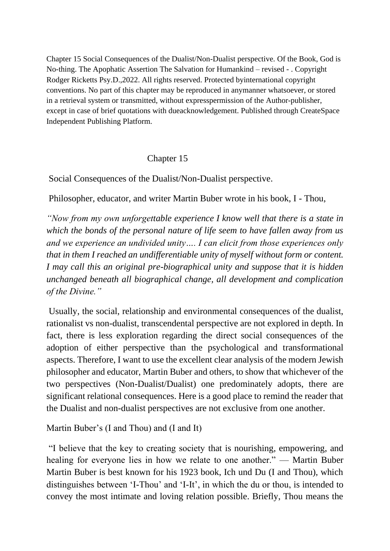Chapter 15 Social Consequences of the Dualist/Non-Dualist perspective. Of the Book, God is No-thing. The Apophatic Assertion The Salvation for Humankind – revised - . Copyright Rodger Ricketts Psy.D.,2022. All rights reserved. Protected byinternational copyright conventions. No part of this chapter may be reproduced in anymanner whatsoever, or stored in a retrieval system or transmitted, without expresspermission of the Author-publisher, except in case of brief quotations with dueacknowledgement. Published through CreateSpace Independent Publishing Platform.

#### Chapter 15

Social Consequences of the Dualist/Non-Dualist perspective.

Philosopher, educator, and writer Martin Buber wrote in his book, I - Thou,

*"Now from my own unforgettable experience I know well that there is a state in which the bonds of the personal nature of life seem to have fallen away from us and we experience an undivided unity…. I can elicit from those experiences only that in them I reached an undifferentiable unity of myself without form or content. I may call this an original pre-biographical unity and suppose that it is hidden unchanged beneath all biographical change, all development and complication of the Divine."*

Usually, the social, relationship and environmental consequences of the dualist, rationalist vs non-dualist, transcendental perspective are not explored in depth. In fact, there is less exploration regarding the direct social consequences of the adoption of either perspective than the psychological and transformational aspects. Therefore, I want to use the excellent clear analysis of the modern Jewish philosopher and educator, Martin Buber and others, to show that whichever of the two perspectives (Non-Dualist/Dualist) one predominately adopts, there are significant relational consequences. Here is a good place to remind the reader that the Dualist and non-dualist perspectives are not exclusive from one another.

Martin Buber's (I and Thou) and (I and It)

"I believe that the key to creating society that is nourishing, empowering, and healing for everyone lies in how we relate to one another." — Martin Buber Martin Buber is best known for his 1923 book, Ich und Du (I and Thou), which distinguishes between 'I-Thou' and 'I-It', in which the du or thou, is intended to convey the most intimate and loving relation possible. Briefly, Thou means the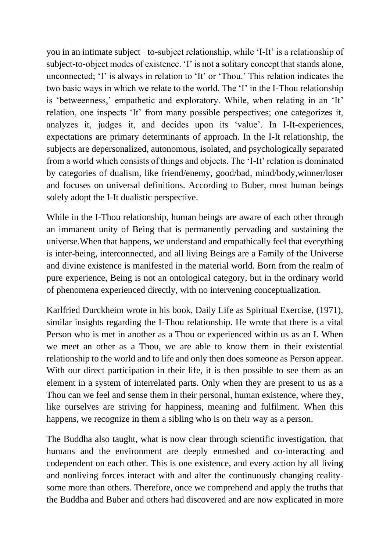you in an intimate subject to-subject relationship, while 'I-It' is a relationship of subject-to-object modes of existence. 'I' is not a solitary concept that stands alone, unconnected; 'I' is always in relation to 'It' or 'Thou.' This relation indicates the two basic ways in which we relate to the world. The 'I' in the I-Thou relationship is 'betweenness,' empathetic and exploratory. While, when relating in an 'It' relation, one inspects 'It' from many possible perspectives; one categorizes it, analyzes it, judges it, and decides upon its 'value'. In I-It-experiences, expectations are primary determinants of approach. In the I-It relationship, the subjects are depersonalized, autonomous, isolated, and psychologically separated from a world which consists of things and objects. The 'I-It' relation is dominated by categories of dualism, like friend/enemy, good/bad, mind/body,winner/loser and focuses on universal definitions. According to Buber, most human beings solely adopt the I-It dualistic perspective.

While in the I-Thou relationship, human beings are aware of each other through an immanent unity of Being that is permanently pervading and sustaining the universe.When that happens, we understand and empathically feel that everything is inter-being, interconnected, and all living Beings are a Family of the Universe and divine existence is manifested in the material world. Born from the realm of pure experience, Being is not an ontological category, but in the ordinary world of phenomena experienced directly, with no intervening conceptualization.

Karlfried Durckheim wrote in his book, Daily Life as Spiritual Exercise, (1971), similar insights regarding the I-Thou relationship. He wrote that there is a vital Person who is met in another as a Thou or experienced within us as an I. When we meet an other as a Thou, we are able to know them in their existential relationship to the world and to life and only then does someone as Person appear. With our direct participation in their life, it is then possible to see them as an element in a system of interrelated parts. Only when they are present to us as a Thou can we feel and sense them in their personal, human existence, where they, like ourselves are striving for happiness, meaning and fulfilment. When this happens, we recognize in them a sibling who is on their way as a person.

The Buddha also taught, what is now clear through scientific investigation, that humans and the environment are deeply enmeshed and co-interacting and codependent on each other. This is one existence, and every action by all living and nonliving forces interact with and alter the continuously changing realitysome more than others. Therefore, once we comprehend and apply the truths that the Buddha and Buber and others had discovered and are now explicated in more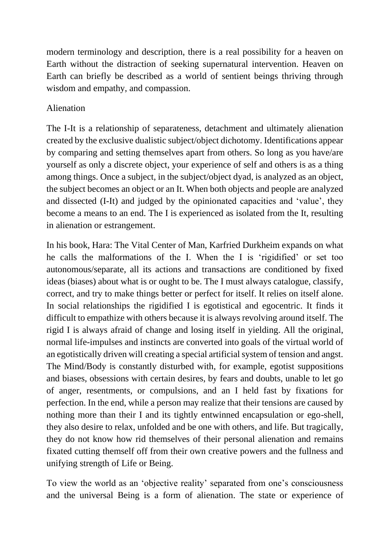modern terminology and description, there is a real possibility for a heaven on Earth without the distraction of seeking supernatural intervention. Heaven on Earth can briefly be described as a world of sentient beings thriving through wisdom and empathy, and compassion.

# Alienation

The I-It is a relationship of separateness, detachment and ultimately alienation created by the exclusive dualistic subject/object dichotomy. Identifications appear by comparing and setting themselves apart from others. So long as you have/are yourself as only a discrete object, your experience of self and others is as a thing among things. Once a subject, in the subject/object dyad, is analyzed as an object, the subject becomes an object or an It. When both objects and people are analyzed and dissected (I-It) and judged by the opinionated capacities and 'value', they become a means to an end. The I is experienced as isolated from the It, resulting in alienation or estrangement.

In his book, Hara: The Vital Center of Man, Karfried Durkheim expands on what he calls the malformations of the I. When the I is 'rigidified' or set too autonomous/separate, all its actions and transactions are conditioned by fixed ideas (biases) about what is or ought to be. The I must always catalogue, classify, correct, and try to make things better or perfect for itself. It relies on itself alone. In social relationships the rigidified I is egotistical and egocentric. It finds it difficult to empathize with others because it is always revolving around itself. The rigid I is always afraid of change and losing itself in yielding. All the original, normal life-impulses and instincts are converted into goals of the virtual world of an egotistically driven will creating a special artificial system of tension and angst. The Mind/Body is constantly disturbed with, for example, egotist suppositions and biases, obsessions with certain desires, by fears and doubts, unable to let go of anger, resentments, or compulsions, and an I held fast by fixations for perfection. In the end, while a person may realize that their tensions are caused by nothing more than their I and its tightly entwinned encapsulation or ego-shell, they also desire to relax, unfolded and be one with others, and life. But tragically, they do not know how rid themselves of their personal alienation and remains fixated cutting themself off from their own creative powers and the fullness and unifying strength of Life or Being.

To view the world as an 'objective reality' separated from one's consciousness and the universal Being is a form of alienation. The state or experience of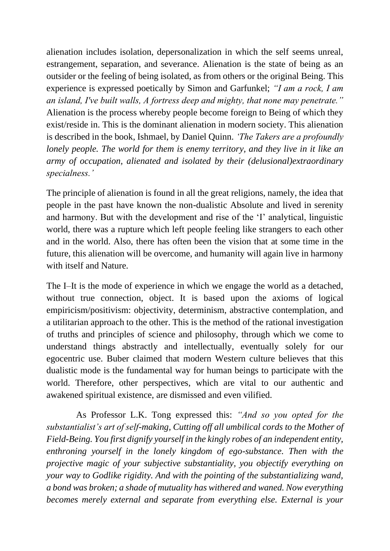alienation includes isolation, depersonalization in which the self seems unreal, estrangement, separation, and severance. Alienation is the state of being as an outsider or the feeling of being isolated, as from others or the original Being. This experience is expressed poetically by Simon and Garfunkel; *"I am a rock, I am an island, I've built walls, A fortress deep and mighty, that none may penetrate."* Alienation is the process whereby people become foreign to Being of which they exist/reside in. This is the dominant alienation in modern society. This alienation is described in the book, Ishmael, by Daniel Quinn. *'The Takers are a profoundly lonely people. The world for them is enemy territory, and they live in it like an army of occupation, alienated and isolated by their (delusional)extraordinary specialness.'* 

The principle of alienation is found in all the great religions, namely, the idea that people in the past have known the non-dualistic Absolute and lived in serenity and harmony. But with the development and rise of the 'I' analytical, linguistic world, there was a rupture which left people feeling like strangers to each other and in the world. Also, there has often been the vision that at some time in the future, this alienation will be overcome, and humanity will again live in harmony with itself and Nature.

The I–It is the mode of experience in which we engage the world as a detached, without true connection, object. It is based upon the axioms of logical empiricism/positivism: objectivity, determinism, abstractive contemplation, and a utilitarian approach to the other. This is the method of the rational investigation of truths and principles of science and philosophy, through which we come to understand things abstractly and intellectually, eventually solely for our egocentric use. Buber claimed that modern Western culture believes that this dualistic mode is the fundamental way for human beings to participate with the world. Therefore, other perspectives, which are vital to our authentic and awakened spiritual existence, are dismissed and even vilified.

 As Professor L.K. Tong expressed this: *"And so you opted for the substantialist's art of self-making, Cutting off all umbilical cords to the Mother of Field-Being. You first dignify yourself in the kingly robes of an independent entity, enthroning yourself in the lonely kingdom of ego-substance. Then with the projective magic of your subjective substantiality, you objectify everything on your way to Godlike rigidity. And with the pointing of the substantializing wand, a bond was broken; a shade of mutuality has withered and waned. Now everything becomes merely external and separate from everything else. External is your*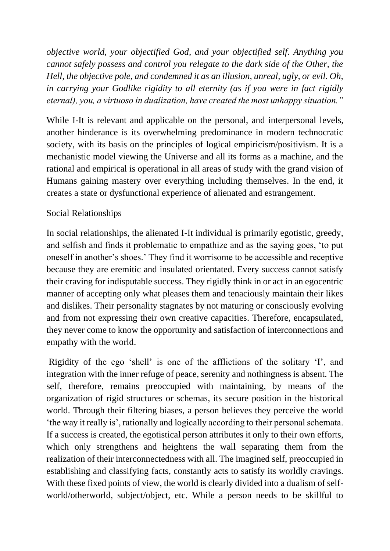*objective world, your objectified God, and your objectified self. Anything you cannot safely possess and control you relegate to the dark side of the Other, the Hell, the objective pole, and condemned it as an illusion, unreal, ugly, or evil. Oh, in carrying your Godlike rigidity to all eternity (as if you were in fact rigidly eternal), you, a virtuoso in dualization, have created the most unhappy situation."* 

While I-It is relevant and applicable on the personal, and interpersonal levels, another hinderance is its overwhelming predominance in modern technocratic society, with its basis on the principles of logical empiricism/positivism. It is a mechanistic model viewing the Universe and all its forms as a machine, and the rational and empirical is operational in all areas of study with the grand vision of Humans gaining mastery over everything including themselves. In the end, it creates a state or dysfunctional experience of alienated and estrangement.

# Social Relationships

In social relationships, the alienated I-It individual is primarily egotistic, greedy, and selfish and finds it problematic to empathize and as the saying goes, 'to put oneself in another's shoes.' They find it worrisome to be accessible and receptive because they are eremitic and insulated orientated. Every success cannot satisfy their craving for indisputable success. They rigidly think in or act in an egocentric manner of accepting only what pleases them and tenaciously maintain their likes and dislikes. Their personality stagnates by not maturing or consciously evolving and from not expressing their own creative capacities. Therefore, encapsulated, they never come to know the opportunity and satisfaction of interconnections and empathy with the world.

Rigidity of the ego 'shell' is one of the afflictions of the solitary 'I', and integration with the inner refuge of peace, serenity and nothingness is absent. The self, therefore, remains preoccupied with maintaining, by means of the organization of rigid structures or schemas, its secure position in the historical world. Through their filtering biases, a person believes they perceive the world 'the way it really is', rationally and logically according to their personal schemata. If a success is created, the egotistical person attributes it only to their own efforts, which only strengthens and heightens the wall separating them from the realization of their interconnectedness with all. The imagined self, preoccupied in establishing and classifying facts, constantly acts to satisfy its worldly cravings. With these fixed points of view, the world is clearly divided into a dualism of selfworld/otherworld, subject/object, etc. While a person needs to be skillful to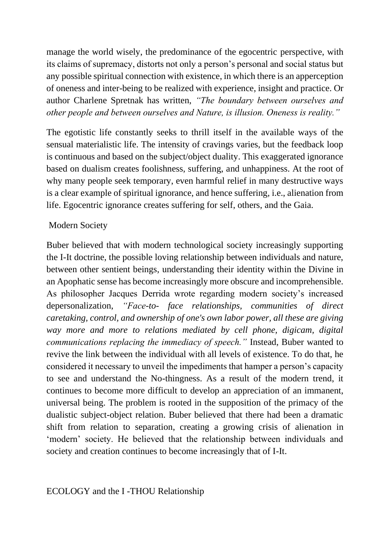manage the world wisely, the predominance of the egocentric perspective, with its claims of supremacy, distorts not only a person's personal and social status but any possible spiritual connection with existence, in which there is an apperception of oneness and inter-being to be realized with experience, insight and practice. Or author Charlene Spretnak has written, *"The boundary between ourselves and other people and between ourselves and Nature, is illusion. Oneness is reality."*

The egotistic life constantly seeks to thrill itself in the available ways of the sensual materialistic life. The intensity of cravings varies, but the feedback loop is continuous and based on the subject/object duality. This exaggerated ignorance based on dualism creates foolishness, suffering, and unhappiness. At the root of why many people seek temporary, even harmful relief in many destructive ways is a clear example of spiritual ignorance, and hence suffering, i.e., alienation from life. Egocentric ignorance creates suffering for self, others, and the Gaia.

### Modern Society

Buber believed that with modern technological society increasingly supporting the I-It doctrine, the possible loving relationship between individuals and nature, between other sentient beings, understanding their identity within the Divine in an Apophatic sense has become increasingly more obscure and incomprehensible. As philosopher Jacques Derrida wrote regarding modern society's increased depersonalization, *"Face-to- face relationships, communities of direct caretaking, control, and ownership of one's own labor power, all these are giving way more and more to relations mediated by cell phone, digicam, digital communications replacing the immediacy of speech."* Instead, Buber wanted to revive the link between the individual with all levels of existence. To do that, he considered it necessary to unveil the impediments that hamper a person's capacity to see and understand the No-thingness. As a result of the modern trend, it continues to become more difficult to develop an appreciation of an immanent, universal being. The problem is rooted in the supposition of the primacy of the dualistic subject-object relation. Buber believed that there had been a dramatic shift from relation to separation, creating a growing crisis of alienation in 'modern' society. He believed that the relationship between individuals and society and creation continues to become increasingly that of I-It.

ECOLOGY and the I -THOU Relationship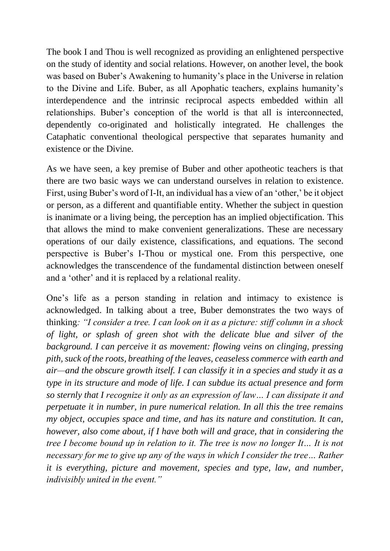The book I and Thou is well recognized as providing an enlightened perspective on the study of identity and social relations. However, on another level, the book was based on Buber's Awakening to humanity's place in the Universe in relation to the Divine and Life. Buber, as all Apophatic teachers, explains humanity's interdependence and the intrinsic reciprocal aspects embedded within all relationships. Buber's conception of the world is that all is interconnected, dependently co-originated and holistically integrated. He challenges the Cataphatic conventional theological perspective that separates humanity and existence or the Divine.

As we have seen, a key premise of Buber and other apotheotic teachers is that there are two basic ways we can understand ourselves in relation to existence. First, using Buber's word of I-It, an individual has a view of an 'other,' be it object or person, as a different and quantifiable entity. Whether the subject in question is inanimate or a living being, the perception has an implied objectification. This that allows the mind to make convenient generalizations. These are necessary operations of our daily existence, classifications, and equations. The second perspective is Buber's I-Thou or mystical one. From this perspective, one acknowledges the transcendence of the fundamental distinction between oneself and a 'other' and it is replaced by a relational reality.

One's life as a person standing in relation and intimacy to existence is acknowledged. In talking about a tree, Buber demonstrates the two ways of thinking*: "I consider a tree. I can look on it as a picture: stiff column in a shock of light, or splash of green shot with the delicate blue and silver of the background. I can perceive it as movement: flowing veins on clinging, pressing pith, suck of the roots, breathing of the leaves, ceaseless commerce with earth and air—and the obscure growth itself. I can classify it in a species and study it as a type in its structure and mode of life. I can subdue its actual presence and form so sternly that I recognize it only as an expression of law… I can dissipate it and perpetuate it in number, in pure numerical relation. In all this the tree remains my object, occupies space and time, and has its nature and constitution. It can, however, also come about, if I have both will and grace, that in considering the tree I become bound up in relation to it. The tree is now no longer It… It is not necessary for me to give up any of the ways in which I consider the tree... Rather it is everything, picture and movement, species and type, law, and number, indivisibly united in the event."*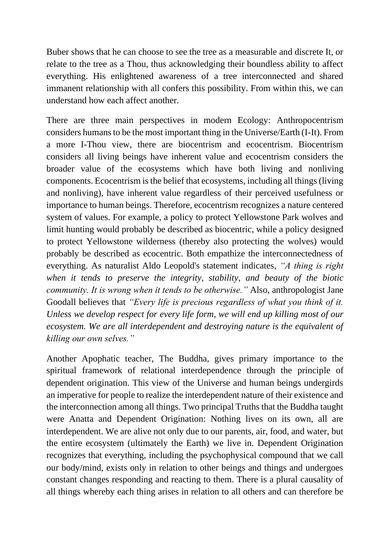Buber shows that he can choose to see the tree as a measurable and discrete It, or relate to the tree as a Thou, thus acknowledging their boundless ability to affect everything. His enlightened awareness of a tree interconnected and shared immanent relationship with all confers this possibility. From within this, we can understand how each affect another.

There are three main perspectives in modern Ecology: Anthropocentrism considers humans to be the most important thing in the Universe/Earth (I-It). From a more I-Thou view, there are biocentrism and ecocentrism. Biocentrism considers all living beings have inherent value and ecocentrism considers the broader value of the ecosystems which have both living and nonliving components. Ecocentrism is the belief that ecosystems, including all things (living and nonliving), have inherent value regardless of their perceived usefulness or importance to human beings. Therefore, ecocentrism recognizes a nature centered system of values. For example, a policy to protect Yellowstone Park wolves and limit hunting would probably be described as biocentric, while a policy designed to protect Yellowstone wilderness (thereby also protecting the wolves) would probably be described as ecocentric. Both empathize the interconnectedness of everything. As naturalist Aldo Leopold's statement indicates, *"A thing is right when it tends to preserve the integrity, stability, and beauty of the biotic community. It is wrong when it tends to be otherwise."* Also, anthropologist Jane Goodall believes that *"Every life is precious regardless of what you think of it. Unless we develop respect for every life form, we will end up killing most of our ecosystem. We are all interdependent and destroying nature is the equivalent of killing our own selves."*

Another Apophatic teacher, The Buddha, gives primary importance to the spiritual framework of relational interdependence through the principle of dependent origination. This view of the Universe and human beings undergirds an imperative for people to realize the interdependent nature of their existence and the interconnection among all things. Two principal Truths that the Buddha taught were Anatta and Dependent Origination: Nothing lives on its own, all are interdependent. We are alive not only due to our parents, air, food, and water, but the entire ecosystem (ultimately the Earth) we live in. Dependent Origination recognizes that everything, including the psychophysical compound that we call our body/mind, exists only in relation to other beings and things and undergoes constant changes responding and reacting to them. There is a plural causality of all things whereby each thing arises in relation to all others and can therefore be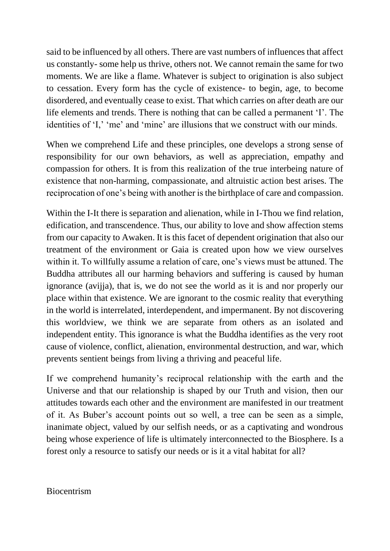said to be influenced by all others. There are vast numbers of influences that affect us constantly- some help us thrive, others not. We cannot remain the same for two moments. We are like a flame. Whatever is subject to origination is also subject to cessation. Every form has the cycle of existence- to begin, age, to become disordered, and eventually cease to exist. That which carries on after death are our life elements and trends. There is nothing that can be called a permanent 'I'. The identities of 'I,' 'me' and 'mine' are illusions that we construct with our minds.

When we comprehend Life and these principles, one develops a strong sense of responsibility for our own behaviors, as well as appreciation, empathy and compassion for others. It is from this realization of the true interbeing nature of existence that non-harming, compassionate, and altruistic action best arises. The reciprocation of one's being with another is the birthplace of care and compassion.

Within the I-It there is separation and alienation, while in I-Thou we find relation, edification, and transcendence. Thus, our ability to love and show affection stems from our capacity to Awaken. It is this facet of dependent origination that also our treatment of the environment or Gaia is created upon how we view ourselves within it. To willfully assume a relation of care, one's views must be attuned. The Buddha attributes all our harming behaviors and suffering is caused by human ignorance (avijja), that is, we do not see the world as it is and nor properly our place within that existence. We are ignorant to the cosmic reality that everything in the world is interrelated, interdependent, and impermanent. By not discovering this worldview, we think we are separate from others as an isolated and independent entity. This ignorance is what the Buddha identifies as the very root cause of violence, conflict, alienation, environmental destruction, and war, which prevents sentient beings from living a thriving and peaceful life.

If we comprehend humanity's reciprocal relationship with the earth and the Universe and that our relationship is shaped by our Truth and vision, then our attitudes towards each other and the environment are manifested in our treatment of it. As Buber's account points out so well, a tree can be seen as a simple, inanimate object, valued by our selfish needs, or as a captivating and wondrous being whose experience of life is ultimately interconnected to the Biosphere. Is a forest only a resource to satisfy our needs or is it a vital habitat for all?

**Biocentrism**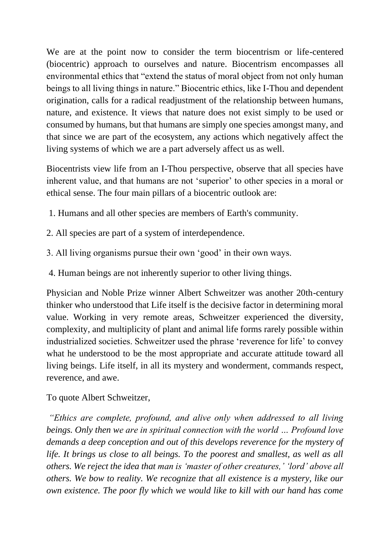We are at the point now to consider the term biocentrism or life-centered (biocentric) approach to ourselves and nature. Biocentrism encompasses all environmental ethics that "extend the status of moral object from not only human beings to all living things in nature." Biocentric ethics, like I-Thou and dependent origination, calls for a radical readjustment of the relationship between humans, nature, and existence. It views that nature does not exist simply to be used or consumed by humans, but that humans are simply one species amongst many, and that since we are part of the ecosystem, any actions which negatively affect the living systems of which we are a part adversely affect us as well.

Biocentrists view life from an I-Thou perspective, observe that all species have inherent value, and that humans are not 'superior' to other species in a moral or ethical sense. The four main pillars of a biocentric outlook are:

- 1. Humans and all other species are members of Earth's community.
- 2. All species are part of a system of interdependence.
- 3. All living organisms pursue their own 'good' in their own ways.
- 4. Human beings are not inherently superior to other living things.

Physician and Noble Prize winner Albert Schweitzer was another 20th-century thinker who understood that Life itself is the decisive factor in determining moral value. Working in very remote areas, Schweitzer experienced the diversity, complexity, and multiplicity of plant and animal life forms rarely possible within industrialized societies. Schweitzer used the phrase 'reverence for life' to convey what he understood to be the most appropriate and accurate attitude toward all living beings. Life itself, in all its mystery and wonderment, commands respect, reverence, and awe.

# To quote Albert Schweitzer,

*"Ethics are complete, profound, and alive only when addressed to all living beings. Only then we are in spiritual connection with the world … Profound love demands a deep conception and out of this develops reverence for the mystery of life. It brings us close to all beings. To the poorest and smallest, as well as all others. We reject the idea that man is 'master of other creatures,' 'lord' above all others. We bow to reality. We recognize that all existence is a mystery, like our own existence. The poor fly which we would like to kill with our hand has come*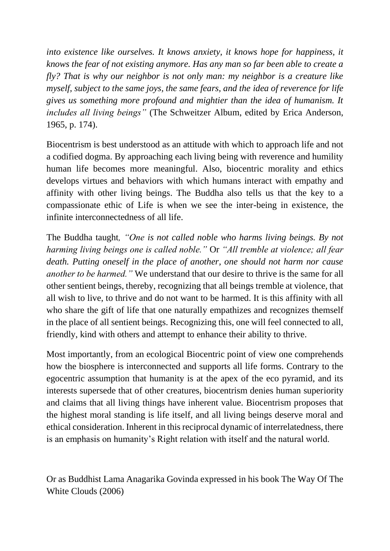*into existence like ourselves. It knows anxiety, it knows hope for happiness, it knows the fear of not existing anymore. Has any man so far been able to create a fly? That is why our neighbor is not only man: my neighbor is a creature like myself, subject to the same joys, the same fears, and the idea of reverence for life gives us something more profound and mightier than the idea of humanism. It includes all living beings"* (The Schweitzer Album, edited by Erica Anderson, 1965, p. 174).

Biocentrism is best understood as an attitude with which to approach life and not a codified dogma. By approaching each living being with reverence and humility human life becomes more meaningful. Also, biocentric morality and ethics develops virtues and behaviors with which humans interact with empathy and affinity with other living beings. The Buddha also tells us that the key to a compassionate ethic of Life is when we see the inter-being in existence, the infinite interconnectedness of all life.

The Buddha taught*, "One is not called noble who harms living beings. By not harming living beings one is called noble."* Or *"All tremble at violence; all fear death. Putting oneself in the place of another, one should not harm nor cause another to be harmed."* We understand that our desire to thrive is the same for all other sentient beings, thereby, recognizing that all beings tremble at violence, that all wish to live, to thrive and do not want to be harmed. It is this affinity with all who share the gift of life that one naturally empathizes and recognizes themself in the place of all sentient beings. Recognizing this, one will feel connected to all, friendly, kind with others and attempt to enhance their ability to thrive.

Most importantly, from an ecological Biocentric point of view one comprehends how the biosphere is interconnected and supports all life forms. Contrary to the egocentric assumption that humanity is at the apex of the eco pyramid, and its interests supersede that of other creatures, biocentrism denies human superiority and claims that all living things have inherent value. Biocentrism proposes that the highest moral standing is life itself, and all living beings deserve moral and ethical consideration. Inherent in this reciprocal dynamic of interrelatedness, there is an emphasis on humanity's Right relation with itself and the natural world.

Or as Buddhist Lama Anagarika Govinda expressed in his book The Way Of The White Clouds (2006)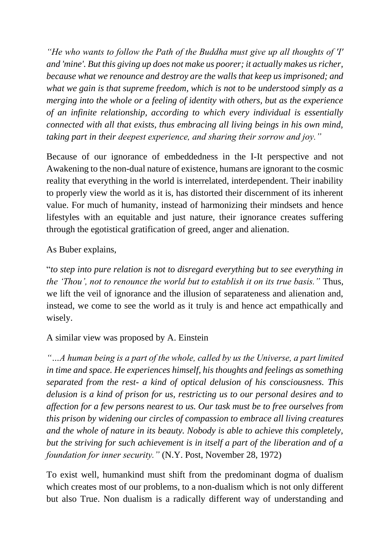*"He who wants to follow the Path of the Buddha must give up all thoughts of 'I' and 'mine'. But this giving up does not make us poorer; it actually makes us richer, because what we renounce and destroy are the walls that keep us imprisoned; and what we gain is that supreme freedom, which is not to be understood simply as a merging into the whole or a feeling of identity with others, but as the experience of an infinite relationship, according to which every individual is essentially connected with all that exists, thus embracing all living beings in his own mind, taking part in their deepest experience, and sharing their sorrow and joy."*

Because of our ignorance of embeddedness in the I-It perspective and not Awakening to the non-dual nature of existence, humans are ignorant to the cosmic reality that everything in the world is interrelated, interdependent. Their inability to properly view the world as it is, has distorted their discernment of its inherent value. For much of humanity, instead of harmonizing their mindsets and hence lifestyles with an equitable and just nature, their ignorance creates suffering through the egotistical gratification of greed, anger and alienation.

As Buber explains,

"*to step into pure relation is not to disregard everything but to see everything in the 'Thou', not to renounce the world but to establish it on its true basis."* Thus, we lift the veil of ignorance and the illusion of separateness and alienation and, instead, we come to see the world as it truly is and hence act empathically and wisely.

# A similar view was proposed by A. Einstein

*"…A human being is a part of the whole, called by us the Universe, a part limited in time and space. He experiences himself, his thoughts and feelings as something separated from the rest- a kind of optical delusion of his consciousness. This delusion is a kind of prison for us, restricting us to our personal desires and to affection for a few persons nearest to us. Our task must be to free ourselves from this prison by widening our circles of compassion to embrace all living creatures and the whole of nature in its beauty. Nobody is able to achieve this completely, but the striving for such achievement is in itself a part of the liberation and of a foundation for inner security."* (N.Y. Post, November 28, 1972)

To exist well, humankind must shift from the predominant dogma of dualism which creates most of our problems, to a non-dualism which is not only different but also True. Non dualism is a radically different way of understanding and